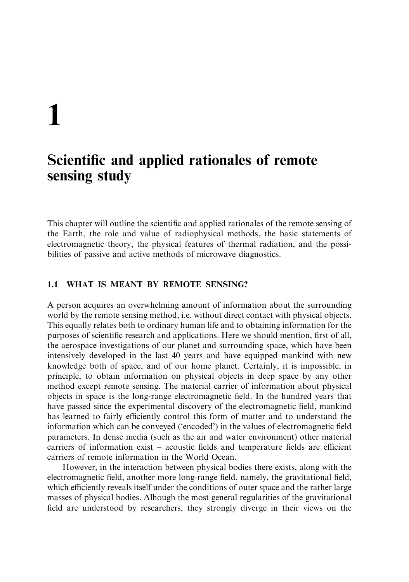# 1

## Scientific and applied rationales of remote sensing study

This chapter will outline the scientific and applied rationales of the remote sensing of the Earth, the role and value of radiophysical methods, the basic statements of electromagnetic theory, the physical features of thermal radiation, and the possibilities of passive and active methods of microwave diagnostics.

#### $1.1$ WHAT IS MEANT BY REMOTE SENSING?

A person acquires an overwhelming amount of information about the surrounding world by the remote sensing method, i.e. without direct contact with physical objects. This equally relates both to ordinary human life and to obtaining information for the purposes of scientific research and applications. Here we should mention, first of all, the aerospace investigations of our planet and surrounding space, which have been intensively developed in the last 40 years and have equipped mankind with new knowledge both of space, and of our home planet. Certainly, it is impossible, in principle, to obtain information on physical objects in deep space by any other method except remote sensing. The material carrier of information about physical objects in space is the long-range electromagnetic field. In the hundred years that have passed since the experimental discovery of the electromagnetic field, mankind has learned to fairly efficiently control this form of matter and to understand the information which can be conveved ('encoded') in the values of electromagnetic field parameters. In dense media (such as the air and water environment) other material carriers of information exist – acoustic fields and temperature fields are efficient carriers of remote information in the World Ocean.

However, in the interaction between physical bodies there exists, along with the electromagnetic field, another more long-range field, namely, the gravitational field, which efficiently reveals itself under the conditions of outer space and the rather large masses of physical bodies. Alhough the most general regularities of the gravitational field are understood by researchers, they strongly diverge in their views on the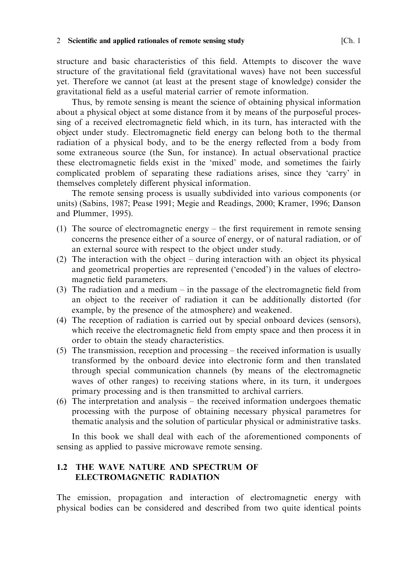structure and basic characteristics of this field. Attempts to discover the wave structure of the gravitational field (gravitational waves) have not been successful yet. Therefore we cannot (at least at the present stage of knowledge) consider the gravitational field as a useful material carrier of remote information.

Thus, by remote sensing is meant the science of obtaining physical information about a physical object at some distance from it by means of the purposeful processing of a received electromagnetic field which, in its turn, has interacted with the object under study. Electromagnetic field energy can belong both to the thermal radiation of a physical body, and to be the energy reflected from a body from some extraneous source (the Sun, for instance). In actual observational practice these electromagnetic fields exist in the 'mixed' mode, and sometimes the fairly complicated problem of separating these radiations arises, since they 'carry' in themselves completely different physical information.

The remote sensing process is usually subdivided into various components (or units) (Sabins, 1987; Pease 1991; Megie and Readings, 2000; Kramer, 1996; Danson and Plummer, 1995).

- (1) The source of electromagnetic energy the first requirement in remote sensing concerns the presence either of a source of energy, or of natural radiation, or of an external source with respect to the object under study.
- (2) The interaction with the object during interaction with an object its physical and geometrical properties are represented ('encoded') in the values of electromagnetic field parameters.
- (3) The radiation and a medium  $-$  in the passage of the electromagnetic field from an object to the receiver of radiation it can be additionally distorted (for example, by the presence of the atmosphere) and weakened.
- (4) The reception of radiation is carried out by special onboard devices (sensors), which receive the electromagnetic field from empty space and then process it in order to obtain the steady characteristics.
- (5) The transmission, reception and processing the received information is usually transformed by the onboard device into electronic form and then translated through special communication channels (by means of the electromagnetic waves of other ranges) to receiving stations where, in its turn, it undergoes primary processing and is then transmitted to archival carriers.
- $(6)$  The interpretation and analysis the received information undergoes thematic processing with the purpose of obtaining necessary physical parametres for the matic analysis and the solution of particular physical or administrative tasks.

In this book we shall deal with each of the aforementioned components of sensing as applied to passive microwave remote sensing.

## 1.2 THE WAVE NATURE AND SPECTRUM OF ELECTROMAGNETIC RADIATION

The emission, propagation and interaction of electromagnetic energy with physical bodies can be considered and described from two quite identical points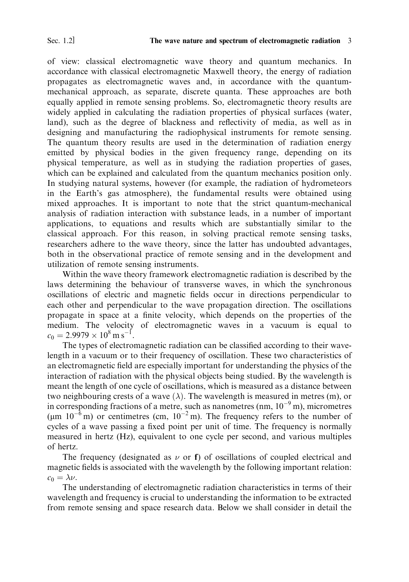of view: classical electromagnetic wave theory and quantum mechanics. In accordance with classical electromagnetic Maxwell theory, the energy of radiation propagates as electromagnetic waves and, in accordance with the quantummechanical approach, as separate, discrete quanta. These approaches are both equally applied in remote sensing problems. So, electromagnetic theory results are widely applied in calculating the radiation properties of physical surfaces (water, land), such as the degree of blackness and reflectivity of media, as well as in designing and manufacturing the radiophysical instruments for remote sensing. The quantum theory results are used in the determination of radiation energy emitted by physical bodies in the given frequency range, depending on its physical temperature, as well as in studying the radiation properties of gases, which can be explained and calculated from the quantum mechanics position only. In studying natural systems, however (for example, the radiation of hydrometeors in the Earth's gas atmosphere), the fundamental results were obtained using mixed approaches. It is important to note that the strict quantum-mechanical analysis of radiation interaction with substance leads, in a number of important applications, to equations and results which are substantially similar to the classical approach. For this reason, in solving practical remote sensing tasks, researchers adhere to the wave theory, since the latter has undoubted advantages, both in the observational practice of remote sensing and in the development and utilization of remote sensing instruments.

Within the wave theory framework electromagnetic radiation is described by the laws determining the behaviour of transverse waves, in which the synchronous oscillations of electric and magnetic fields occur in directions perpendicular to each other and perpendicular to the wave propagation direction. The oscillations propagate in space at a finite velocity, which depends on the properties of the medium. The velocity of electromagnetic waves in a vacuum is equal to  $c_0 = 2.9979 \times 10^8 \,\mathrm{m\,s}^{-1}$ .

The types of electromagnetic radiation can be classified according to their wavelength in a vacuum or to their frequency of oscillation. These two characteristics of an electromagnetic field are especially important for understanding the physics of the interaction of radiation with the physical objects being studied. By the wavelength is meant the length of one cycle of oscillations, which is measured as a distance between two neighbouring crests of a wave  $(\lambda)$ . The wavelength is measured in metres (m), or in corresponding fractions of a metre, such as nanometres (nm,  $10^{-9}$  m), micrometres (um  $10^{-6}$  m) or centimetres (cm,  $10^{-2}$  m). The frequency refers to the number of cycles of a wave passing a fixed point per unit of time. The frequency is normally measured in hertz (Hz), equivalent to one cycle per second, and various multiples of hertz.

The frequency (designated as  $\nu$  or f) of oscillations of coupled electrical and magnetic fields is associated with the wavelength by the following important relation:  $c_0 = \lambda \nu$ .

The understanding of electromagnetic radiation characteristics in terms of their wavelength and frequency is crucial to understanding the information to be extracted from remote sensing and space research data. Below we shall consider in detail the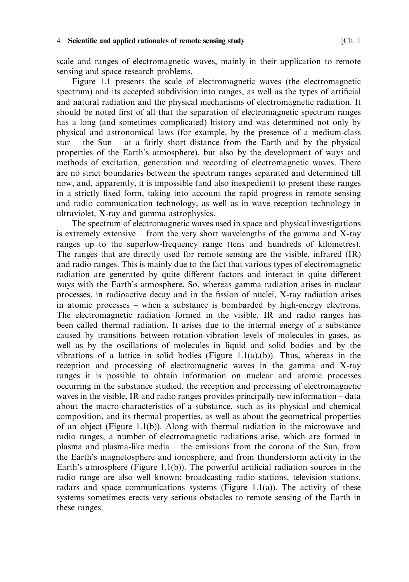scale and ranges of electromagnetic waves, mainly in their application to remote sensing and space research problems.

Figure 1.1 presents the scale of electromagnetic waves (the electromagnetic spectrum) and its accepted subdivision into ranges, as well as the types of artificial and natural radiation and the physical mechanisms of electromagnetic radiation. It should be noted first of all that the separation of electromagnetic spectrum ranges has a long (and sometimes complicated) history and was determined not only by physical and astronomical laws (for example, by the presence of a medium-class star – the Sun – at a fairly short distance from the Earth and by the physical properties of the Earth's atmosphere), but also by the development of ways and methods of excitation, generation and recording of electromagnetic waves. There are no strict boundaries between the spectrum ranges separated and determined till now, and, apparently, it is impossible (and also inexpedient) to present these ranges in a strictly fixed form, taking into account the rapid progress in remote sensing and radio communication technology, as well as in wave reception technology in ultraviolet, X-ray and gamma astrophysics.

The spectrum of electromagnetic waves used in space and physical investigations is extremely extensive – from the very short wavelengths of the gamma and  $X$ -ray ranges up to the superlow-frequency range (tens and hundreds of kilometres). The ranges that are directly used for remote sensing are the visible, infrared (IR) and radio ranges. This is mainly due to the fact that various types of electromagnetic radiation are generated by quite different factors and interact in quite different ways with the Earth's atmosphere. So, whereas gamma radiation arises in nuclear processes, in radioactive decay and in the fission of nuclei, X-ray radiation arises in atomic processes  $-$  when a substance is bombarded by high-energy electrons. The electromagnetic radiation formed in the visible, IR and radio ranges has been called thermal radiation. It arises due to the internal energy of a substance caused by transitions between rotation-vibration levels of molecules in gases, as well as by the oscillations of molecules in liquid and solid bodies and by the vibrations of a lattice in solid bodies (Figure 1.1(a),(b)). Thus, whereas in the reception and processing of electromagnetic waves in the gamma and X-ray ranges it is possible to obtain information on nuclear and atomic processes occurring in the substance studied, the reception and processing of electromagnetic waves in the visible, IR and radio ranges provides principally new information  $-$  data about the macro-characteristics of a substance, such as its physical and chemical composition, and its thermal properties, as well as about the geometrical properties of an object (Figure 1.1(b)). Along with thermal radiation in the microwave and radio ranges, a number of electromagnetic radiations arise, which are formed in plasma and plasma-like media  $-$  the emissions from the corona of the Sun, from the Earth's magnetosphere and ionosphere, and from thunderstorm activity in the Earth's atmosphere (Figure 1.1(b)). The powerful artificial radiation sources in the radio range are also well known: broadcasting radio stations, television stations, radars and space communications systems (Figure 1.1(a)). The activity of these systems sometimes erects very serious obstacles to remote sensing of the Earth in these ranges.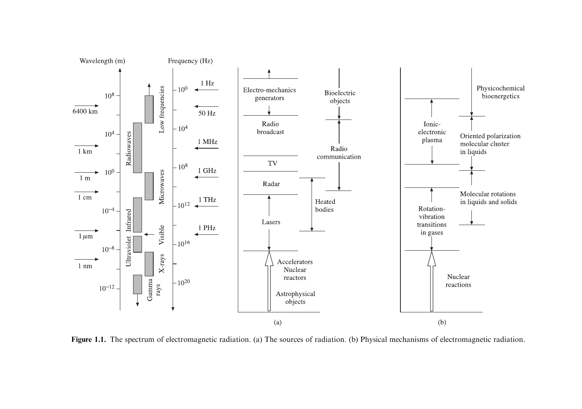

Figure 1.1. The spectrum of electromagnetic radiation. (a) The sources of radiation. (b) Physical mechanisms of electromagnetic radiation.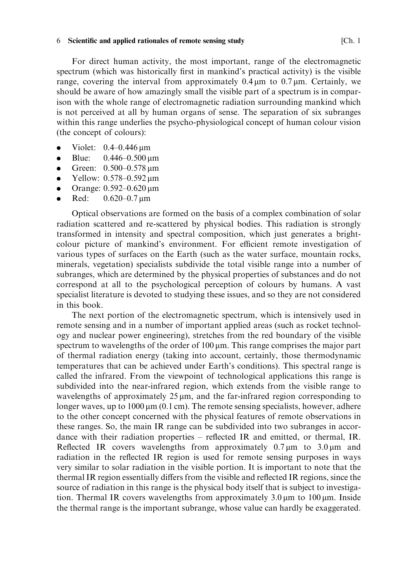For direct human activity, the most important, range of the electromagnetic spectrum (which was historically first in mankind's practical activity) is the visible range, covering the interval from approximately  $0.4 \mu m$  to  $0.7 \mu m$ . Certainly, we should be aware of how amazingly small the visible part of a spectrum is in comparison with the whole range of electromagnetic radiation surrounding mankind which is not perceived at all by human organs of sense. The separation of six subranges within this range underlies the psycho-physiological concept of human colour vision (the concept of colours):

- Violet:  $0.4 0.446 \,\text{\mu m}$
- Blue:  $0.446 - 0.500 \,\mathrm{\upmu m}$  $\bullet$
- Green:  $0.500 0.578 \,\mu m$
- Yellow: 0.578-0.592 um
- Orange: 0.592-0.620 µm
- Red:  $0.620 - 0.7$ um  $\bullet$

Optical observations are formed on the basis of a complex combination of solar radiation scattered and re-scattered by physical bodies. This radiation is strongly transformed in intensity and spectral composition, which just generates a brightcolour picture of mankind's environment. For efficient remote investigation of various types of surfaces on the Earth (such as the water surface, mountain rocks, minerals, vegetation) specialists subdivide the total visible range into a number of subranges, which are determined by the physical properties of substances and do not correspond at all to the psychological perception of colours by humans. A vast specialist literature is devoted to studying these issues, and so they are not considered in this book.

The next portion of the electromagnetic spectrum, which is intensively used in remote sensing and in a number of important applied areas (such as rocket technology and nuclear power engineering), stretches from the red boundary of the visible spectrum to wavelengths of the order of  $100 \mu m$ . This range comprises the major part of thermal radiation energy (taking into account, certainly, those thermodynamic temperatures that can be achieved under Earth's conditions). This spectral range is called the infrared. From the viewpoint of technological applications this range is subdivided into the near-infrared region, which extends from the visible range to wavelengths of approximately  $25 \mu m$ , and the far-infrared region corresponding to longer waves, up to  $1000 \mu m$  (0.1 cm). The remote sensing specialists, however, adhere to the other concept concerned with the physical features of remote observations in these ranges. So, the main IR range can be subdivided into two subranges in accordance with their radiation properties – reflected IR and emitted, or thermal, IR. Reflected IR covers wavelengths from approximately  $0.7 \mu m$  to  $3.0 \mu m$  and radiation in the reflected IR region is used for remote sensing purposes in ways very similar to solar radiation in the visible portion. It is important to note that the thermal IR region essentially differs from the visible and reflected IR regions, since the source of radiation in this range is the physical body itself that is subject to investigation. Thermal IR covers wavelengths from approximately  $3.0 \mu m$  to  $100 \mu m$ . Inside the thermal range is the important subrange, whose value can hardly be exaggerated.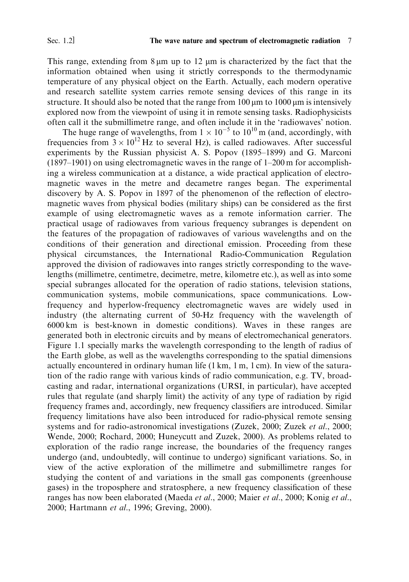This range, extending from 8 um up to 12 um is characterized by the fact that the information obtained when using it strictly corresponds to the thermodynamic temperature of any physical object on the Earth. Actually, each modern operative and research satellite system carries remote sensing devices of this range in its structure. It should also be noted that the range from  $100 \mu m$  to  $1000 \mu m$  is intensively explored now from the viewpoint of using it in remote sensing tasks. Radiophysicists often call it the submillimetre range, and often include it in the 'radiowaves' notion.

The huge range of wavelengths, from  $1 \times 10^{-5}$  to  $10^{10}$  m (and, accordingly, with frequencies from  $3 \times 10^{12}$  Hz to several Hz), is called radiowaves. After successful experiments by the Russian physicist A. S. Popov (1895–1899) and G. Marconi  $(1897-1901)$  on using electromagnetic waves in the range of  $1-200$  m for accomplishing a wireless communication at a distance, a wide practical application of electromagnetic waves in the metre and decametre ranges began. The experimental discovery by A. S. Popov in 1897 of the phenomenon of the reflection of electromagnetic waves from physical bodies (military ships) can be considered as the first example of using electromagnetic waves as a remote information carrier. The practical usage of radiowaves from various frequency subranges is dependent on the features of the propagation of radiowaves of various wavelengths and on the conditions of their generation and directional emission. Proceeding from these physical circumstances, the International Radio-Communication Regulation approved the division of radiowaves into ranges strictly corresponding to the wavelengths (millimetre, centimetre, decimetre, metre, kilometre etc.), as well as into some special subranges allocated for the operation of radio stations, television stations. communication systems, mobile communications, space communications. Lowfrequency and hyperlow-frequency electromagnetic waves are widely used in industry (the alternating current of 50-Hz frequency with the wavelength of 6000 km is best-known in domestic conditions). Waves in these ranges are generated both in electronic circuits and by means of electromechanical generators. Figure 1.1 specially marks the wavelength corresponding to the length of radius of the Earth globe, as well as the wavelengths corresponding to the spatial dimensions actually encountered in ordinary human life (1 km, 1 m, 1 cm). In view of the saturation of the radio range with various kinds of radio communication, e.g. TV, broadcasting and radar, international organizations (URSI, in particular), have accepted rules that regulate (and sharply limit) the activity of any type of radiation by rigid frequency frames and, accordingly, new frequency classifiers are introduced. Similar frequency limitations have also been introduced for radio-physical remote sensing systems and for radio-astronomical investigations (Zuzek, 2000; Zuzek et al., 2000; Wende, 2000; Rochard, 2000; Huneycutt and Zuzek, 2000). As problems related to exploration of the radio range increase, the boundaries of the frequency ranges undergo (and, undoubtedly, will continue to undergo) significant variations. So, in view of the active exploration of the millimetre and submillimetre ranges for studying the content of and variations in the small gas components (greenhouse gases) in the troposphere and stratosphere, a new frequency classification of these ranges has now been elaborated (Maeda et al., 2000; Maier et al., 2000; Konig et al., 2000; Hartmann et al., 1996; Greving, 2000).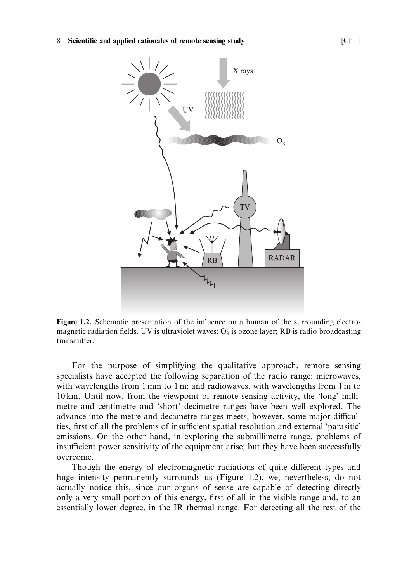

Figure 1.2. Schematic presentation of the influence on a human of the surrounding electromagnetic radiation fields. UV is ultraviolet waves;  $O_3$  is ozone layer; RB is radio broadcasting transmitter.

For the purpose of simplifying the qualitative approach, remote sensing specialists have accepted the following separation of the radio range: microwaves, with wavelengths from  $1 \text{ mm}$  to  $1 \text{ m}$ ; and radiowaves, with wavelengths from  $1 \text{ m}$  to 10 km. Until now, from the viewpoint of remote sensing activity, the 'long' millimetre and centimetre and 'short' decimetre ranges have been well explored. The advance into the metre and decametre ranges meets, however, some major difficulties, first of all the problems of insufficient spatial resolution and external 'parasitic' emissions. On the other hand, in exploring the submillimetre range, problems of insufficient power sensitivity of the equipment arise; but they have been successfully overcome.

Though the energy of electromagnetic radiations of quite different types and huge intensity permanently surrounds us (Figure 1.2), we, nevertheless, do not actually notice this, since our organs of sense are capable of detecting directly only a very small portion of this energy, first of all in the visible range and, to an essentially lower degree, in the IR thermal range. For detecting all the rest of the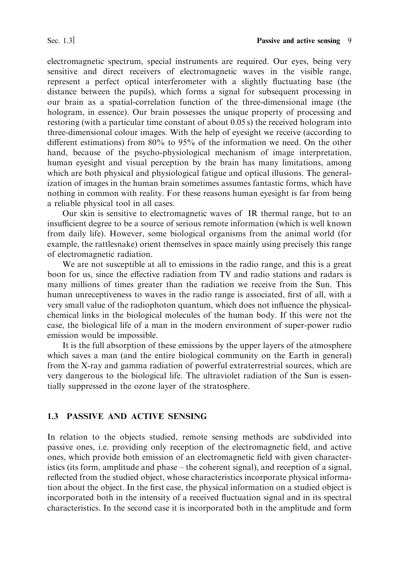electromagnetic spectrum, special instruments are required. Our eyes, being very sensitive and direct receivers of electromagnetic waves in the visible range, represent a perfect optical interferometer with a slightly fluctuating base (the distance between the pupils), which forms a signal for subsequent processing in our brain as a spatial-correlation function of the three-dimensional image (the hologram, in essence). Our brain possesses the unique property of processing and restoring (with a particular time constant of about 0.05 s) the received hologram into three-dimensional colour images. With the help of eyesight we receive (according to different estimations) from 80% to 95% of the information we need. On the other hand, because of the psycho-physiological mechanism of image interpretation, human eyesight and visual perception by the brain has many limitations, among which are both physical and physiological fatigue and optical illusions. The generalization of images in the human brain sometimes assumes fantastic forms, which have nothing in common with reality. For these reasons human eyesight is far from being a reliable physical tool in all cases.

Our skin is sensitive to electromagnetic waves of IR thermal range, but to an insufficient degree to be a source of serious remote information (which is well known from daily life). However, some biological organisms from the animal world (for example, the rattlesnake) orient themselves in space mainly using precisely this range of electromagnetic radiation.

We are not susceptible at all to emissions in the radio range, and this is a great boon for us, since the effective radiation from TV and radio stations and radars is many millions of times greater than the radiation we receive from the Sun. This human unreceptiveness to waves in the radio range is associated, first of all, with a very small value of the radiophoton quantum, which does not influence the physicalchemical links in the biological molecules of the human body. If this were not the case, the biological life of a man in the modern environment of super-power radio emission would be impossible.

It is the full absorption of these emissions by the upper layers of the atmosphere which saves a man (and the entire biological community on the Earth in general) from the X-ray and gamma radiation of powerful extraterrestrial sources, which are very dangerous to the biological life. The ultraviolet radiation of the Sun is essentially suppressed in the ozone layer of the stratosphere.

## **1.3 PASSIVE AND ACTIVE SENSING**

In relation to the objects studied, remote sensing methods are subdivided into passive ones, i.e. providing only reception of the electromagnetic field, and active ones, which provide both emission of an electromagnetic field with given characteristics (its form, amplitude and phase – the coherent signal), and reception of a signal, reflected from the studied object, whose characteristics incorporate physical information about the object. In the first case, the physical information on a studied object is incorporated both in the intensity of a received fluctuation signal and in its spectral characteristics. In the second case it is incorporated both in the amplitude and form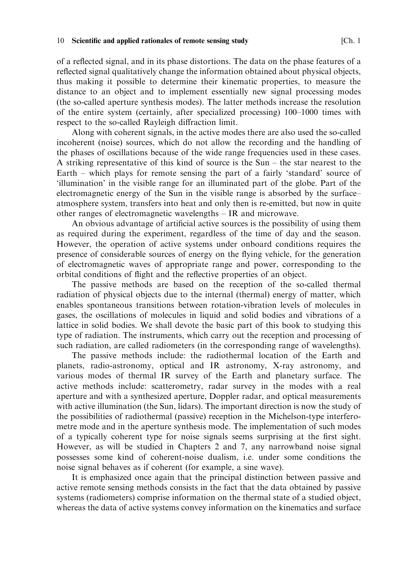of a reflected signal, and in its phase distortions. The data on the phase features of a reflected signal qualitatively change the information obtained about physical objects, thus making it possible to determine their kinematic properties, to measure the distance to an object and to implement essentially new signal processing modes (the so-called aperture synthesis modes). The latter methods increase the resolution of the entire system (certainly, after specialized processing) 100–1000 times with respect to the so-called Rayleigh diffraction limit.

Along with coherent signals, in the active modes there are also used the so-called incoherent (noise) sources, which do not allow the recording and the handling of the phases of oscillations because of the wide range frequencies used in these cases. A striking representative of this kind of source is the Sun – the star nearest to the Earth – which plays for remote sensing the part of a fairly 'standard' source of 'illumination' in the visible range for an illuminated part of the globe. Part of the electromagnetic energy of the Sun in the visible range is absorbed by the surfaceatmosphere system, transfers into heat and only then is re-emitted, but now in quite other ranges of electromagnetic wavelengths – IR and microwave.

An obvious advantage of artificial active sources is the possibility of using them as required during the experiment, regardless of the time of day and the season. However, the operation of active systems under onboard conditions requires the presence of considerable sources of energy on the flying vehicle, for the generation of electromagnetic waves of appropriate range and power, corresponding to the orbital conditions of flight and the reflective properties of an object.

The passive methods are based on the reception of the so-called thermal radiation of physical objects due to the internal (thermal) energy of matter, which enables spontaneous transitions between rotation-vibration levels of molecules in gases, the oscillations of molecules in liquid and solid bodies and vibrations of a lattice in solid bodies. We shall devote the basic part of this book to studying this type of radiation. The instruments, which carry out the reception and processing of such radiation, are called radiometers (in the corresponding range of wavelengths).

The passive methods include: the radiothermal location of the Earth and planets, radio-astronomy, optical and IR astronomy, X-ray astronomy, and various modes of thermal IR survey of the Earth and planetary surface. The active methods include: scatterometry, radar survey in the modes with a real aperture and with a synthesized aperture, Doppler radar, and optical measurements with active illumination (the Sun, lidars). The important direction is now the study of the possibilities of radiothermal (passive) reception in the Michelson-type interferometre mode and in the aperture synthesis mode. The implementation of such modes of a typically coherent type for noise signals seems surprising at the first sight. However, as will be studied in Chapters 2 and 7, any narrowband noise signal possesses some kind of coherent-noise dualism, i.e. under some conditions the noise signal behaves as if coherent (for example, a sine wave).

It is emphasized once again that the principal distinction between passive and active remote sensing methods consists in the fact that the data obtained by passive systems (radiometers) comprise information on the thermal state of a studied object, whereas the data of active systems convey information on the kinematics and surface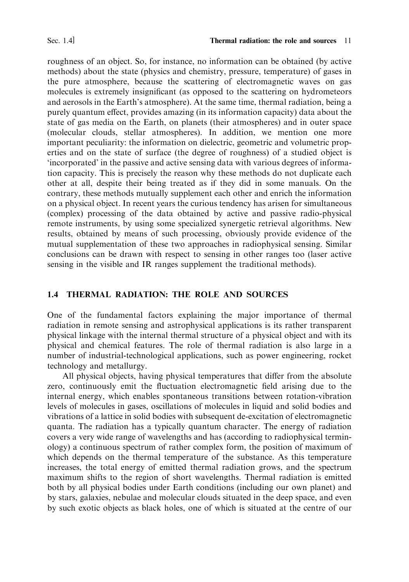roughness of an object. So, for instance, no information can be obtained (by active methods) about the state (physics and chemistry, pressure, temperature) of gases in the pure atmosphere, because the scattering of electromagnetic waves on gas molecules is extremely insignificant (as opposed to the scattering on hydrometeors and aerosols in the Earth's atmosphere). At the same time, thermal radiation, being a purely quantum effect, provides amazing (in its information capacity) data about the state of gas media on the Earth, on planets (their atmospheres) and in outer space (molecular clouds, stellar atmospheres). In addition, we mention one more important peculiarity: the information on dielectric, geometric and volumetric properties and on the state of surface (the degree of roughness) of a studied object is 'incorporated' in the passive and active sensing data with various degrees of information capacity. This is precisely the reason why these methods do not duplicate each other at all, despite their being treated as if they did in some manuals. On the contrary, these methods mutually supplement each other and enrich the information on a physical object. In recent years the curious tendency has arisen for simultaneous (complex) processing of the data obtained by active and passive radio-physical remote instruments, by using some specialized synergetic retrieval algorithms. New results, obtained by means of such processing, obviously provide evidence of the mutual supplementation of these two approaches in radiophysical sensing. Similar conclusions can be drawn with respect to sensing in other ranges too (laser active sensing in the visible and IR ranges supplement the traditional methods).

#### $1.4$ THERMAL RADIATION: THE ROLE AND SOURCES

One of the fundamental factors explaining the major importance of thermal radiation in remote sensing and astrophysical applications is its rather transparent physical linkage with the internal thermal structure of a physical object and with its physical and chemical features. The role of thermal radiation is also large in a number of industrial-technological applications, such as power engineering, rocket technology and metallurgy.

All physical objects, having physical temperatures that differ from the absolute zero, continuously emit the fluctuation electromagnetic field arising due to the internal energy, which enables spontaneous transitions between rotation-vibration levels of molecules in gases, oscillations of molecules in liquid and solid bodies and vibrations of a lattice in solid bodies with subsequent de-excitation of electromagnetic quanta. The radiation has a typically quantum character. The energy of radiation covers a very wide range of wavelengths and has (according to radiophysical terminology) a continuous spectrum of rather complex form, the position of maximum of which depends on the thermal temperature of the substance. As this temperature increases, the total energy of emitted thermal radiation grows, and the spectrum maximum shifts to the region of short wavelengths. Thermal radiation is emitted both by all physical bodies under Earth conditions (including our own planet) and by stars, galaxies, nebulae and molecular clouds situated in the deep space, and even by such exotic objects as black holes, one of which is situated at the centre of our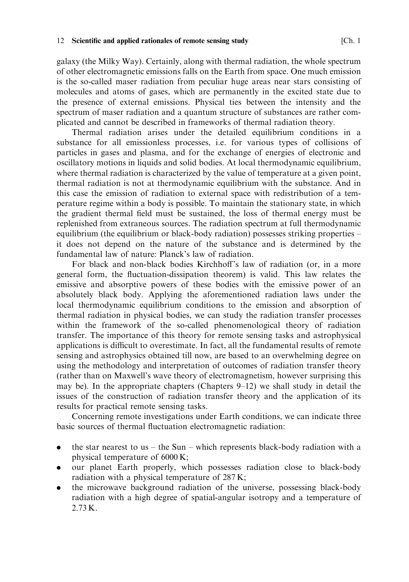$[Ch. 1]$ 

galaxy (the Milky Way). Certainly, along with thermal radiation, the whole spectrum of other electromagnetic emissions falls on the Earth from space. One much emission is the so-called maser radiation from peculiar huge areas near stars consisting of molecules and atoms of gases, which are permanently in the excited state due to the presence of external emissions. Physical ties between the intensity and the spectrum of maser radiation and a quantum structure of substances are rather complicated and cannot be described in frameworks of thermal radiation theory.

Thermal radiation arises under the detailed equilibrium conditions in a substance for all emissionless processes, i.e. for various types of collisions of particles in gases and plasma, and for the exchange of energies of electronic and oscillatory motions in liquids and solid bodies. At local thermodynamic equilibrium, where thermal radiation is characterized by the value of temperature at a given point, thermal radiation is not at thermodynamic equilibrium with the substance. And in this case the emission of radiation to external space with redistribution of a temperature regime within a body is possible. To maintain the stationary state, in which the gradient thermal field must be sustained, the loss of thermal energy must be replenished from extraneous sources. The radiation spectrum at full thermodynamic equilibrium (the equilibrium or black-body radiation) possesses striking properties  $$ it does not depend on the nature of the substance and is determined by the fundamental law of nature: Planck's law of radiation.

For black and non-black bodies Kirchhoff's law of radiation (or, in a more general form, the fluctuation-dissipation theorem) is valid. This law relates the emissive and absorptive powers of these bodies with the emissive power of an absolutely black body. Applying the aforementioned radiation laws under the local thermodynamic equilibrium conditions to the emission and absorption of thermal radiation in physical bodies, we can study the radiation transfer processes within the framework of the so-called phenomenological theory of radiation transfer. The importance of this theory for remote sensing tasks and astrophysical applications is difficult to overestimate. In fact, all the fundamental results of remote sensing and astrophysics obtained till now, are based to an overwhelming degree on using the methodology and interpretation of outcomes of radiation transfer theory (rather than on Maxwell's wave theory of electromagnetism, however surprising this may be). In the appropriate chapters (Chapters  $9-12$ ) we shall study in detail the issues of the construction of radiation transfer theory and the application of its results for practical remote sensing tasks.

Concerning remote investigations under Earth conditions, we can indicate three basic sources of thermal fluctuation electromagnetic radiation:

- the star nearest to us the Sun which represents black-body radiation with a  $\bullet$ physical temperature of 6000 K;
- our planet Earth properly, which possesses radiation close to black-body radiation with a physical temperature of 287K;
- the microwave background radiation of the universe, possessing black-body radiation with a high degree of spatial-angular isotropy and a temperature of  $2.73 K.$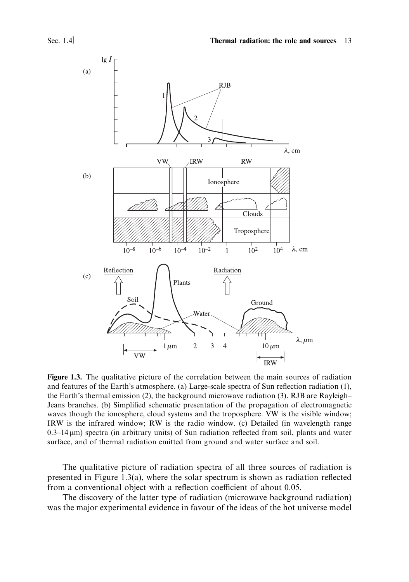

Figure 1.3. The qualitative picture of the correlation between the main sources of radiation and features of the Earth's atmosphere. (a) Large-scale spectra of Sun reflection radiation (1), the Earth's thermal emission (2), the background microwave radiation (3). RJB are Rayleigh-Jeans branches. (b) Simplified schematic presentation of the propagation of electromagnetic waves though the ionosphere, cloud systems and the troposphere. VW is the visible window; IRW is the infrared window; RW is the radio window. (c) Detailed (in wavelength range  $0.3-14 \,\mu m$ ) spectra (in arbitrary units) of Sun radiation reflected from soil, plants and water surface, and of thermal radiation emitted from ground and water surface and soil.

The qualitative picture of radiation spectra of all three sources of radiation is presented in Figure 1.3(a), where the solar spectrum is shown as radiation reflected from a conventional object with a reflection coefficient of about 0.05.

The discovery of the latter type of radiation (microwave background radiation) was the major experimental evidence in favour of the ideas of the hot universe model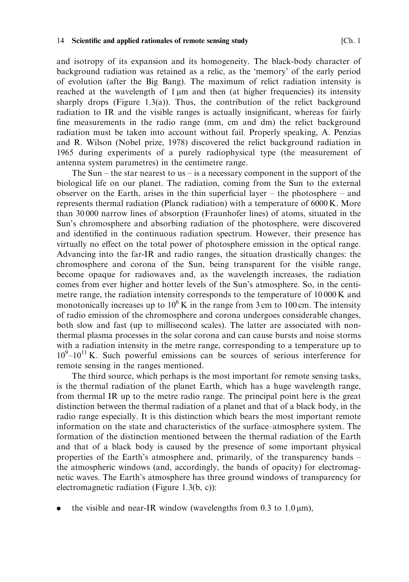and isotropy of its expansion and its homogeneity. The black-body character of background radiation was retained as a relic, as the 'memory' of the early period of evolution (after the Big Bang). The maximum of relict radiation intensity is reached at the wavelength of  $1 \mu m$  and then (at higher frequencies) its intensity sharply drops (Figure 1.3(a)). Thus, the contribution of the relict background radiation to IR and the visible ranges is actually insignificant, whereas for fairly fine measurements in the radio range (mm, cm and dm) the relict background radiation must be taken into account without fail. Properly speaking, A. Penzias and R. Wilson (Nobel prize, 1978) discovered the relict background radiation in 1965 during experiments of a purely radiophysical type (the measurement of antenna system parametres) in the centimetre range.

The Sun – the star nearest to us – is a necessary component in the support of the biological life on our planet. The radiation, coming from the Sun to the external observer on the Earth, arises in the thin superficial layer – the photosphere – and represents thermal radiation (Planck radiation) with a temperature of 6000 K. More than 30,000 narrow lines of absorption (Fraunhofer lines) of atoms, situated in the Sun's chromosphere and absorbing radiation of the photosphere, were discovered and identified in the continuous radiation spectrum. However, their presence has virtually no effect on the total power of photosphere emission in the optical range. Advancing into the far-IR and radio ranges, the situation drastically changes: the chromosphere and corona of the Sun, being transparent for the visible range, become opaque for radiowaves and, as the wavelength increases, the radiation comes from ever higher and hotter levels of the Sun's atmosphere. So, in the centimetre range, the radiation intensity corresponds to the temperature of 10000 K and monotonically increases up to  $10^6$  K in the range from 3 cm to 100 cm. The intensity of radio emission of the chromosphere and corona undergoes considerable changes, both slow and fast (up to millisecond scales). The latter are associated with nonthermal plasma processes in the solar corona and can cause bursts and noise storms with a radiation intensity in the metre range, corresponding to a temperature up to  $10^9 - 10^{11}$  K. Such powerful emissions can be sources of serious interference for remote sensing in the ranges mentioned.

The third source, which perhaps is the most important for remote sensing tasks, is the thermal radiation of the planet Earth, which has a huge wavelength range, from thermal IR up to the metre radio range. The principal point here is the great distinction between the thermal radiation of a planet and that of a black body, in the radio range especially. It is this distinction which bears the most important remote information on the state and characteristics of the surface-atmosphere system. The formation of the distinction mentioned between the thermal radiation of the Earth and that of a black body is caused by the presence of some important physical properties of the Earth's atmosphere and, primarily, of the transparency bands – the atmospheric windows (and, accordingly, the bands of opacity) for electromagnetic waves. The Earth's atmosphere has three ground windows of transparency for electromagnetic radiation (Figure 1.3(b, c)):

the visible and near-IR window (wavelengths from  $0.3$  to  $1.0 \,\mu\text{m}$ ),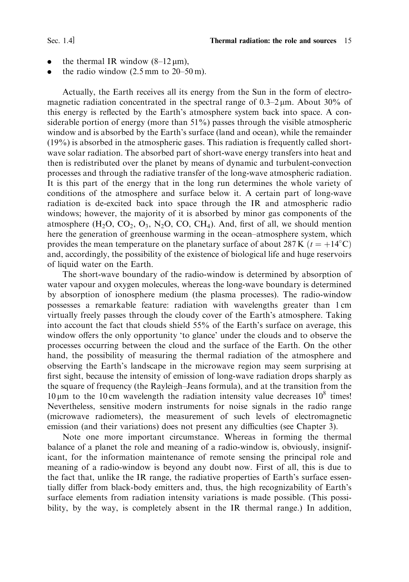Sec. 1.4

- the thermal IR window  $(8-12 \,\mu m)$ ,
- the radio window  $(2.5 \text{ mm to } 20-50 \text{ m})$ .

Actually, the Earth receives all its energy from the Sun in the form of electromagnetic radiation concentrated in the spectral range of  $0.3-2 \mu m$ . About 30% of this energy is reflected by the Earth's atmosphere system back into space. A considerable portion of energy (more than 51%) passes through the visible atmospheric window and is absorbed by the Earth's surface (land and ocean), while the remainder  $(19\%)$  is absorbed in the atmospheric gases. This radiation is frequently called shortwave solar radiation. The absorbed part of short-wave energy transfers into heat and then is redistributed over the planet by means of dynamic and turbulent-convection processes and through the radiative transfer of the long-wave atmospheric radiation. It is this part of the energy that in the long run determines the whole variety of conditions of the atmosphere and surface below it. A certain part of long-wave radiation is de-excited back into space through the IR and atmospheric radio windows; however, the majority of it is absorbed by minor gas components of the atmosphere  $(H_2O, CO_2, O_3, N_2O, CO, CH_4)$ . And, first of all, we should mention here the generation of greenhouse warming in the ocean-atmosphere system, which provides the mean temperature on the planetary surface of about 287 K  $(t = +14^{\circ}C)$ and, accordingly, the possibility of the existence of biological life and huge reservoirs of liquid water on the Earth.

The short-wave boundary of the radio-window is determined by absorption of water vapour and oxygen molecules, whereas the long-wave boundary is determined by absorption of ionosphere medium (the plasma processes). The radio-window possesses a remarkable feature: radiation with wavelengths greater than 1 cm virtually freely passes through the cloudy cover of the Earth's atmosphere. Taking into account the fact that clouds shield 55% of the Earth's surface on average, this window offers the only opportunity 'to glance' under the clouds and to observe the processes occurring between the cloud and the surface of the Earth. On the other hand, the possibility of measuring the thermal radiation of the atmosphere and observing the Earth's landscape in the microwave region may seem surprising at first sight, because the intensity of emission of long-wave radiation drops sharply as the square of frequency (the Rayleigh–Jeans formula), and at the transition from the  $10 \mu m$  to the 10 cm wavelength the radiation intensity value decreases  $10^8$  times! Nevertheless, sensitive modern instruments for noise signals in the radio range (microwave radiometers), the measurement of such levels of electromagnetic emission (and their variations) does not present any difficulties (see Chapter 3).

Note one more important circumstance. Whereas in forming the thermal balance of a planet the role and meaning of a radio-window is, obviously, insignificant, for the information maintenance of remote sensing the principal role and meaning of a radio-window is beyond any doubt now. First of all, this is due to the fact that, unlike the IR range, the radiative properties of Earth's surface essentially differ from black-body emitters and, thus, the high recognizability of Earth's surface elements from radiation intensity variations is made possible. (This possibility, by the way, is completely absent in the IR thermal range.) In addition,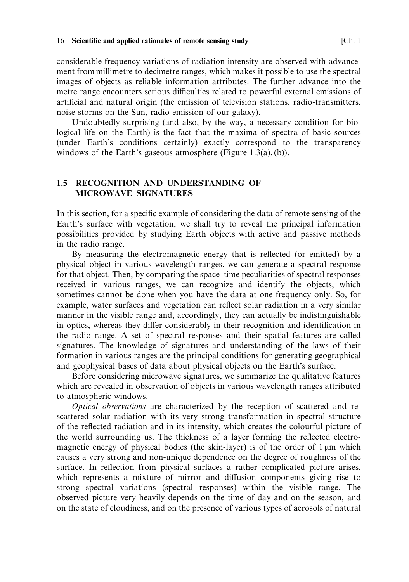considerable frequency variations of radiation intensity are observed with advancement from millimetre to decimetre ranges, which makes it possible to use the spectral images of objects as reliable information attributes. The further advance into the metre range encounters serious difficulties related to powerful external emissions of artificial and natural origin (the emission of television stations, radio-transmitters, noise storms on the Sun, radio-emission of our galaxy).

Undoubtedly surprising (and also, by the way, a necessary condition for biological life on the Earth) is the fact that the maxima of spectra of basic sources (under Earth's conditions certainly) exactly correspond to the transparency windows of the Earth's gaseous atmosphere (Figure 1.3(a), (b)).

## 1.5 RECOGNITION AND UNDERSTANDING OF **MICROWAVE SIGNATURES**

In this section, for a specific example of considering the data of remote sensing of the Earth's surface with vegetation, we shall try to reveal the principal information possibilities provided by studying Earth objects with active and passive methods in the radio range.

By measuring the electromagnetic energy that is reflected (or emitted) by a physical object in various wavelength ranges, we can generate a spectral response for that object. Then, by comparing the space–time peculiarities of spectral responses received in various ranges, we can recognize and identify the objects, which sometimes cannot be done when you have the data at one frequency only. So, for example, water surfaces and vegetation can reflect solar radiation in a very similar manner in the visible range and, accordingly, they can actually be indistinguishable in optics, whereas they differ considerably in their recognition and identification in the radio range. A set of spectral responses and their spatial features are called signatures. The knowledge of signatures and understanding of the laws of their formation in various ranges are the principal conditions for generating geographical and geophysical bases of data about physical objects on the Earth's surface.

Before considering microwave signatures, we summarize the qualitative features which are revealed in observation of objects in various wavelength ranges attributed to atmospheric windows.

Optical observations are characterized by the reception of scattered and rescattered solar radiation with its very strong transformation in spectral structure of the reflected radiation and in its intensity, which creates the colourful picture of the world surrounding us. The thickness of a layer forming the reflected electromagnetic energy of physical bodies (the skin-layer) is of the order of 1 µm which causes a very strong and non-unique dependence on the degree of roughness of the surface. In reflection from physical surfaces a rather complicated picture arises, which represents a mixture of mirror and diffusion components giving rise to strong spectral variations (spectral responses) within the visible range. The observed picture very heavily depends on the time of day and on the season, and on the state of cloudiness, and on the presence of various types of aerosols of natural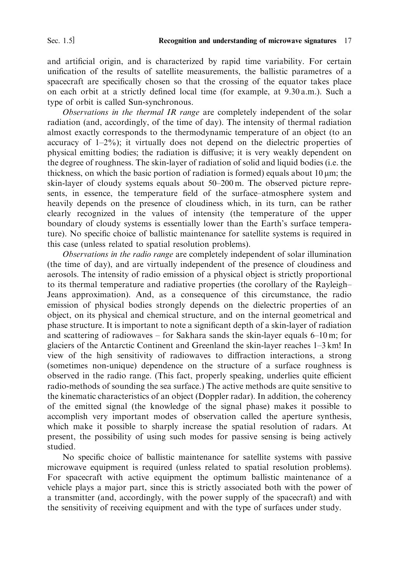and artificial origin, and is characterized by rapid time variability. For certain unification of the results of satellite measurements, the ballistic parametres of a spacecraft are specifically chosen so that the crossing of the equator takes place on each orbit at a strictly defined local time (for example, at 9.30 a.m.). Such a type of orbit is called Sun-synchronous.

Observations in the thermal IR range are completely independent of the solar radiation (and, accordingly, of the time of day). The intensity of thermal radiation almost exactly corresponds to the thermodynamic temperature of an object (to an accuracy of  $1-2\%$ ); it virtually does not depend on the dielectric properties of physical emitting bodies; the radiation is diffusive; it is very weakly dependent on the degree of roughness. The skin-layer of radiation of solid and liquid bodies (i.e. the thickness, on which the basic portion of radiation is formed) equals about  $10 \mu m$ ; the skin-layer of cloudy systems equals about 50–200 m. The observed picture represents, in essence, the temperature field of the surface-atmosphere system and heavily depends on the presence of cloudiness which, in its turn, can be rather clearly recognized in the values of intensity (the temperature of the upper boundary of cloudy systems is essentially lower than the Earth's surface temperature). No specific choice of ballistic maintenance for satellite systems is required in this case (unless related to spatial resolution problems).

Observations in the radio range are completely independent of solar illumination (the time of day), and are virtually independent of the presence of cloudiness and aerosols. The intensity of radio emission of a physical object is strictly proportional to its thermal temperature and radiative properties (the corollary of the Rayleigh-Jeans approximation). And, as a consequence of this circumstance, the radio emission of physical bodies strongly depends on the dielectric properties of an object, on its physical and chemical structure, and on the internal geometrical and phase structure. It is important to note a significant depth of a skin-layer of radiation and scattering of radiowaves – for Sakhara sands the skin-layer equals  $6-10$  m; for glaciers of the Antarctic Continent and Greenland the skin-layer reaches 1–3 km! In view of the high sensitivity of radiowaves to diffraction interactions, a strong (sometimes non-unique) dependence on the structure of a surface roughness is observed in the radio range. (This fact, properly speaking, underlies quite efficient radio-methods of sounding the sea surface.) The active methods are quite sensitive to the kinematic characteristics of an object (Doppler radar). In addition, the coherency of the emitted signal (the knowledge of the signal phase) makes it possible to accomplish very important modes of observation called the aperture synthesis, which make it possible to sharply increase the spatial resolution of radars. At present, the possibility of using such modes for passive sensing is being actively studied

No specific choice of ballistic maintenance for satellite systems with passive microwave equipment is required (unless related to spatial resolution problems). For spacecraft with active equipment the optimum ballistic maintenance of a vehicle plays a major part, since this is strictly associated both with the power of a transmitter (and, accordingly, with the power supply of the spacecraft) and with the sensitivity of receiving equipment and with the type of surfaces under study.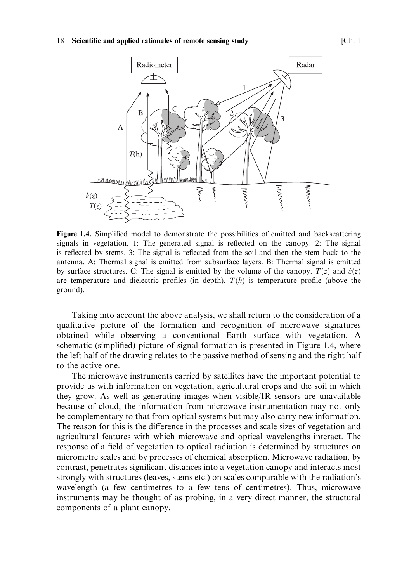

Figure 1.4. Simplified model to demonstrate the possibilities of emitted and backscattering signals in vegetation. 1: The generated signal is reflected on the canopy. 2: The signal is reflected by stems. 3: The signal is reflected from the soil and then the stem back to the antenna. A: Thermal signal is emitted from subsurface layers. B: Thermal signal is emitted by surface structures. C: The signal is emitted by the volume of the canopy.  $T(z)$  and  $\dot{\varepsilon}(z)$ are temperature and dielectric profiles (in depth).  $T(h)$  is temperature profile (above the ground).

Taking into account the above analysis, we shall return to the consideration of a qualitative picture of the formation and recognition of microwave signatures obtained while observing a conventional Earth surface with vegetation. A schematic (simplified) picture of signal formation is presented in Figure 1.4, where the left half of the drawing relates to the passive method of sensing and the right half to the active one.

The microwave instruments carried by satellites have the important potential to provide us with information on vegetation, agricultural crops and the soil in which they grow. As well as generating images when visible/IR sensors are unavailable because of cloud, the information from microwave instrumentation may not only be complementary to that from optical systems but may also carry new information. The reason for this is the difference in the processes and scale sizes of vegetation and agricultural features with which microwave and optical wavelengths interact. The response of a field of vegetation to optical radiation is determined by structures on micrometre scales and by processes of chemical absorption. Microwave radiation, by contrast, penetrates significant distances into a vegetation canopy and interacts most strongly with structures (leaves, stems etc.) on scales comparable with the radiation's wavelength (a few centimetres to a few tens of centimetres). Thus, microwave instruments may be thought of as probing, in a very direct manner, the structural components of a plant canopy.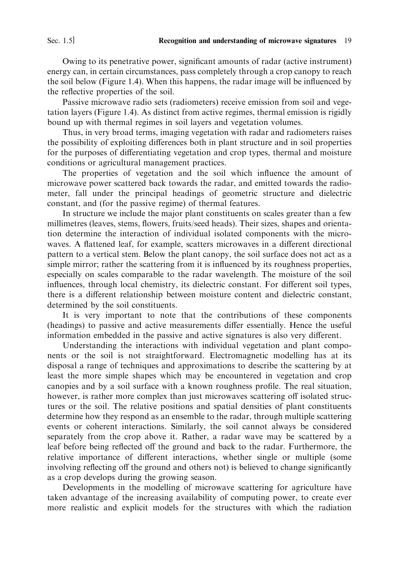Sec. 1.5]

Owing to its penetrative power, significant amounts of radar (active instrument) energy can, in certain circumstances, pass completely through a crop canopy to reach the soil below (Figure 1.4). When this happens, the radar image will be influenced by the reflective properties of the soil.

Passive microwave radio sets (radiometers) receive emission from soil and vegetation layers (Figure 1.4). As distinct from active regimes, thermal emission is rigidly bound up with thermal regimes in soil layers and vegetation volumes.

Thus, in very broad terms, imaging vegetation with radar and radiometers raises the possibility of exploiting differences both in plant structure and in soil properties for the purposes of differentiating vegetation and crop types, thermal and moisture conditions or agricultural management practices.

The properties of vegetation and the soil which influence the amount of microwave power scattered back towards the radar, and emitted towards the radiometer, fall under the principal headings of geometric structure and dielectric constant, and (for the passive regime) of thermal features.

In structure we include the major plant constituents on scales greater than a few millimetres (leaves, stems, flowers, fruits/seed heads). Their sizes, shapes and orientation determine the interaction of individual isolated components with the microwaves. A flattened leaf, for example, scatters microwaves in a different directional pattern to a vertical stem. Below the plant canopy, the soil surface does not act as a simple mirror; rather the scattering from it is influenced by its roughness properties, especially on scales comparable to the radar wavelength. The moisture of the soil influences, through local chemistry, its dielectric constant. For different soil types, there is a different relationship between moisture content and dielectric constant, determined by the soil constituents.

It is very important to note that the contributions of these components (headings) to passive and active measurements differ essentially. Hence the useful information embedded in the passive and active signatures is also very different.

Understanding the interactions with individual vegetation and plant components or the soil is not straightforward. Electromagnetic modelling has at its disposal a range of techniques and approximations to describe the scattering by at least the more simple shapes which may be encountered in vegetation and crop canopies and by a soil surface with a known roughness profile. The real situation, however, is rather more complex than just microwaves scattering off isolated structures or the soil. The relative positions and spatial densities of plant constituents determine how they respond as an ensemble to the radar, through multiple scattering events or coherent interactions. Similarly, the soil cannot always be considered separately from the crop above it. Rather, a radar wave may be scattered by a leaf before being reflected off the ground and back to the radar. Furthermore, the relative importance of different interactions, whether single or multiple (some involving reflecting off the ground and others not) is believed to change significantly as a crop develops during the growing season.

Developments in the modelling of microwave scattering for agriculture have taken advantage of the increasing availability of computing power, to create ever more realistic and explicit models for the structures with which the radiation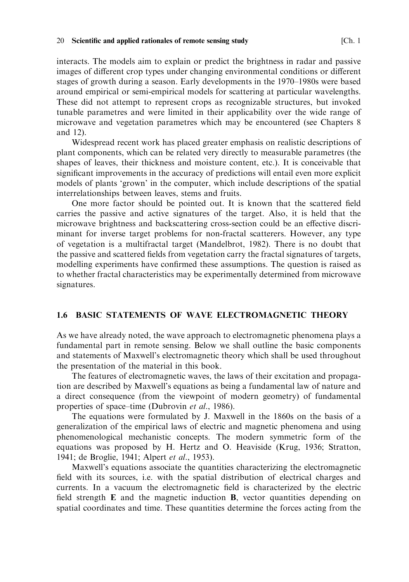interacts. The models aim to explain or predict the brightness in radar and passive images of different crop types under changing environmental conditions or different stages of growth during a season. Early developments in the 1970–1980s were based around empirical or semi-empirical models for scattering at particular wavelengths. These did not attempt to represent crops as recognizable structures, but invoked tunable parametres and were limited in their applicability over the wide range of microwave and vegetation parametres which may be encountered (see Chapters 8 and 12).

Widespread recent work has placed greater emphasis on realistic descriptions of plant components, which can be related very directly to measurable parametres (the shapes of leaves, their thickness and moisture content, etc.). It is conceivable that significant improvements in the accuracy of predictions will entail even more explicit models of plants 'grown' in the computer, which include descriptions of the spatial interrelationships between leaves, stems and fruits.

One more factor should be pointed out. It is known that the scattered field carries the passive and active signatures of the target. Also, it is held that the microwave brightness and backscattering cross-section could be an effective discriminant for inverse target problems for non-fractal scatterers. However, any type of vegetation is a multifractal target (Mandelbrot, 1982). There is no doubt that the passive and scattered fields from vegetation carry the fractal signatures of targets, modelling experiments have confirmed these assumptions. The question is raised as to whether fractal characteristics may be experimentally determined from microwave signatures.

#### **BASIC STATEMENTS OF WAVE ELECTROMAGNETIC THEORY**  $1.6$

As we have already noted, the wave approach to electromagnetic phenomena plays a fundamental part in remote sensing. Below we shall outline the basic components and statements of Maxwell's electromagnetic theory which shall be used throughout the presentation of the material in this book.

The features of electromagnetic waves, the laws of their excitation and propagation are described by Maxwell's equations as being a fundamental law of nature and a direct consequence (from the viewpoint of modern geometry) of fundamental properties of space–time (Dubrovin et al., 1986).

The equations were formulated by J. Maxwell in the 1860s on the basis of a generalization of the empirical laws of electric and magnetic phenomena and using phenomenological mechanistic concepts. The modern symmetric form of the equations was proposed by H. Hertz and O. Heaviside (Krug, 1936; Stratton, 1941; de Broglie, 1941; Alpert et al., 1953).

Maxwell's equations associate the quantities characterizing the electromagnetic field with its sources, i.e. with the spatial distribution of electrical charges and currents. In a vacuum the electromagnetic field is characterized by the electric field strength E and the magnetic induction B, vector quantities depending on spatial coordinates and time. These quantities determine the forces acting from the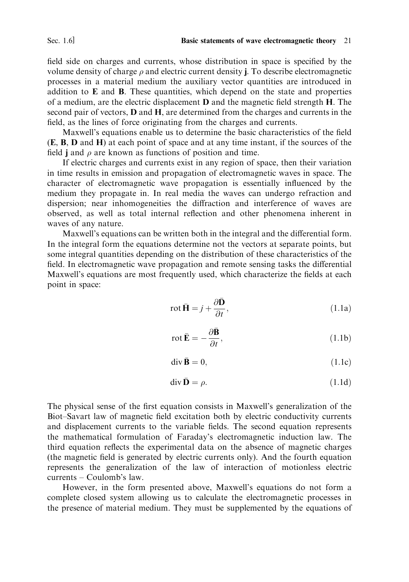field side on charges and currents, whose distribution in space is specified by the volume density of charge  $\rho$  and electric current density **j**. To describe electromagnetic processes in a material medium the auxiliary vector quantities are introduced in addition to  $E$  and  $B$ . These quantities, which depend on the state and properties of a medium, are the electric displacement  $D$  and the magnetic field strength  $H$ . The second pair of vectors, **D** and **H**, are determined from the charges and currents in the field, as the lines of force originating from the charges and currents.

Maxwell's equations enable us to determine the basic characteristics of the field (E, B, D and H) at each point of space and at any time instant, if the sources of the field **j** and  $\rho$  are known as functions of position and time.

If electric charges and currents exist in any region of space, then their variation in time results in emission and propagation of electromagnetic waves in space. The character of electromagnetic wave propagation is essentially influenced by the medium they propagate in. In real media the waves can undergo refraction and dispersion; near inhomogeneities the diffraction and interference of waves are observed, as well as total internal reflection and other phenomena inherent in waves of any nature.

Maxwell's equations can be written both in the integral and the differential form. In the integral form the equations determine not the vectors at separate points, but some integral quantities depending on the distribution of these characteristics of the field. In electromagnetic wave propagation and remote sensing tasks the differential Maxwell's equations are most frequently used, which characterize the fields at each point in space:

$$
\operatorname{rot} \bar{\mathbf{H}} = j + \frac{\partial \bar{\mathbf{D}}}{\partial t},\tag{1.1a}
$$

$$
rot\,\mathbf{\bar{E}} = -\frac{\partial \mathbf{B}}{\partial t},\tag{1.1b}
$$

$$
\operatorname{div} \bar{\mathbf{B}} = 0,\tag{1.1c}
$$

$$
\operatorname{div} \mathbf{D} = \rho. \tag{1.1d}
$$

The physical sense of the first equation consists in Maxwell's generalization of the Biot-Savart law of magnetic field excitation both by electric conductivity currents and displacement currents to the variable fields. The second equation represents the mathematical formulation of Faraday's electromagnetic induction law. The third equation reflects the experimental data on the absence of magnetic charges (the magnetic field is generated by electric currents only). And the fourth equation represents the generalization of the law of interaction of motionless electric currents  $-$  Coulomb's law.

However, in the form presented above, Maxwell's equations do not form a complete closed system allowing us to calculate the electromagnetic processes in the presence of material medium. They must be supplemented by the equations of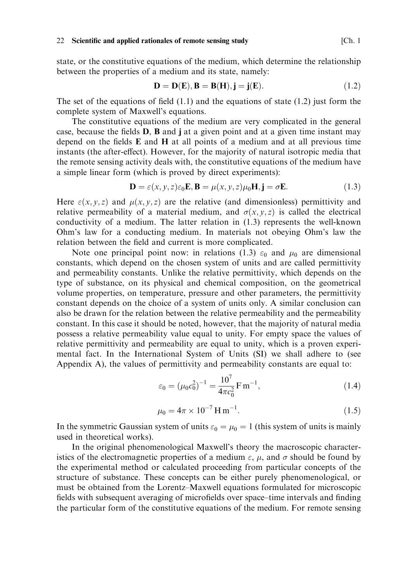state, or the constitutive equations of the medium, which determine the relationship between the properties of a medium and its state, namely:

$$
\mathbf{D} = \mathbf{D}(\mathbf{E}), \mathbf{B} = \mathbf{B}(\mathbf{H}), \mathbf{j} = \mathbf{j}(\mathbf{E}).
$$
 (1.2)

The set of the equations of field  $(1.1)$  and the equations of state  $(1.2)$  just form the complete system of Maxwell's equations.

The constitutive equations of the medium are very complicated in the general case, because the fields **D**, **B** and **j** at a given point and at a given time instant may depend on the fields  $E$  and  $H$  at all points of a medium and at all previous time instants (the after-effect). However, for the majority of natural isotropic media that the remote sensing activity deals with, the constitutive equations of the medium have a simple linear form (which is proved by direct experiments):

$$
\mathbf{D} = \varepsilon(x, y, z)\varepsilon_0 \mathbf{E}, \mathbf{B} = \mu(x, y, z)\mu_0 \mathbf{H}, \mathbf{j} = \sigma \mathbf{E}.
$$
 (1.3)

Here  $\varepsilon(x, y, z)$  and  $\mu(x, y, z)$  are the relative (and dimensionless) permittivity and relative permeability of a material medium, and  $\sigma(x, y, z)$  is called the electrical conductivity of a medium. The latter relation in  $(1.3)$  represents the well-known Ohm's law for a conducting medium. In materials not obeying Ohm's law the relation between the field and current is more complicated.

Note one principal point now: in relations (1.3)  $\varepsilon_0$  and  $\mu_0$  are dimensional constants, which depend on the chosen system of units and are called permittivity and permeability constants. Unlike the relative permittivity, which depends on the type of substance, on its physical and chemical composition, on the geometrical volume properties, on temperature, pressure and other parameters, the permittivity constant depends on the choice of a system of units only. A similar conclusion can also be drawn for the relation between the relative permeability and the permeability constant. In this case it should be noted, however, that the majority of natural media possess a relative permeability value equal to unity. For empty space the values of relative permittivity and permeability are equal to unity, which is a proven experimental fact. In the International System of Units (SI) we shall adhere to (see Appendix A), the values of permittivity and permeability constants are equal to:

$$
\varepsilon_0 = (\mu_0 c_0^2)^{-1} = \frac{10^7}{4\pi c_0^2} \mathbf{F} \,\mathbf{m}^{-1},\tag{1.4}
$$

$$
\mu_0 = 4\pi \times 10^{-7} \,\mathrm{H} \,\mathrm{m}^{-1}.\tag{1.5}
$$

In the symmetric Gaussian system of units  $\varepsilon_0 = \mu_0 = 1$  (this system of units is mainly used in theoretical works).

In the original phenomenological Maxwell's theory the macroscopic characteristics of the electromagnetic properties of a medium  $\varepsilon$ ,  $\mu$ , and  $\sigma$  should be found by the experimental method or calculated proceeding from particular concepts of the structure of substance. These concepts can be either purely phenomenological, or must be obtained from the Lorentz-Maxwell equations formulated for microscopic fields with subsequent averaging of microfields over space-time intervals and finding the particular form of the constitutive equations of the medium. For remote sensing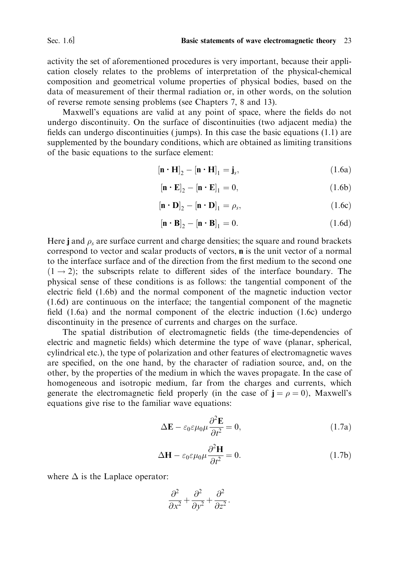activity the set of aforementioned procedures is very important, because their application closely relates to the problems of interpretation of the physical-chemical composition and geometrical volume properties of physical bodies, based on the data of measurement of their thermal radiation or, in other words, on the solution of reverse remote sensing problems (see Chapters 7, 8 and 13).

Maxwell's equations are valid at any point of space, where the fields do not undergo discontinuity. On the surface of discontinuities (two adjacent media) the fields can undergo discontinuities (jumps). In this case the basic equations (1.1) are supplemented by the boundary conditions, which are obtained as limiting transitions of the basic equations to the surface element:

$$
[\mathbf{n} \cdot \mathbf{H}]_2 - [\mathbf{n} \cdot \mathbf{H}]_1 = \mathbf{j}_s,\tag{1.6a}
$$

$$
[\mathbf{n} \cdot \mathbf{E}]_2 - [\mathbf{n} \cdot \mathbf{E}]_1 = 0,\tag{1.6b}
$$

$$
\left[\mathbf{n} \cdot \mathbf{D}\right]_2 - \left[\mathbf{n} \cdot \mathbf{D}\right]_1 = \rho_s,\tag{1.6c}
$$

$$
\left[\mathbf{n} \cdot \mathbf{B}\right]_2 - \left[\mathbf{n} \cdot \mathbf{B}\right]_1 = 0. \tag{1.6d}
$$

Here j and  $\rho_s$  are surface current and charge densities; the square and round brackets correspond to vector and scalar products of vectors, **n** is the unit vector of a normal to the interface surface and of the direction from the first medium to the second one  $(1 \rightarrow 2)$ ; the subscripts relate to different sides of the interface boundary. The physical sense of these conditions is as follows: the tangential component of the electric field (1.6b) and the normal component of the magnetic induction vector (1.6d) are continuous on the interface; the tangential component of the magnetic field  $(1.6a)$  and the normal component of the electric induction  $(1.6c)$  undergo discontinuity in the presence of currents and charges on the surface.

The spatial distribution of electromagnetic fields (the time-dependencies of electric and magnetic fields) which determine the type of wave (planar, spherical, cylindrical etc.), the type of polarization and other features of electromagnetic waves are specified, on the one hand, by the character of radiation source, and, on the other, by the properties of the medium in which the waves propagate. In the case of homogeneous and isotropic medium, far from the charges and currents, which generate the electromagnetic field properly (in the case of  $\mathbf{j} = \rho = 0$ ), Maxwell's equations give rise to the familiar wave equations:

$$
\Delta \mathbf{E} - \varepsilon_0 \varepsilon \mu_0 \mu \frac{\partial^2 \mathbf{E}}{\partial t^2} = 0, \qquad (1.7a)
$$

$$
\Delta \mathbf{H} - \varepsilon_0 \varepsilon \mu_0 \mu \frac{\partial^2 \mathbf{H}}{\partial t^2} = 0.
$$
 (1.7b)

where  $\Delta$  is the Laplace operator:

$$
\frac{\partial^2}{\partial x^2} + \frac{\partial^2}{\partial y^2} + \frac{\partial^2}{\partial z^2}.
$$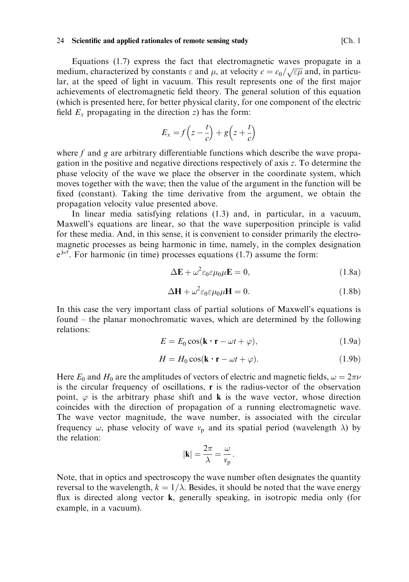Equations  $(1.7)$  express the fact that electromagnetic waves propagate in a medium, characterized by constants  $\varepsilon$  and  $\mu$ , at velocity  $c = c_0 / \sqrt{\varepsilon \mu}$  and, in particular, at the speed of light in vacuum. This result represents one of the first major achievements of electromagnetic field theory. The general solution of this equation (which is presented here, for better physical clarity, for one component of the electric field  $E<sub>x</sub>$  propagating in the direction z) has the form:

$$
E_x = f\left(z - \frac{t}{c}\right) + g\left(z + \frac{t}{c}\right)
$$

where  $f$  and  $g$  are arbitrary differentiable functions which describe the wave propagation in the positive and negative directions respectively of axis  $z$ . To determine the phase velocity of the wave we place the observer in the coordinate system, which moves together with the wave; then the value of the argument in the function will be fixed (constant). Taking the time derivative from the argument, we obtain the propagation velocity value presented above.

In linear media satisfying relations (1.3) and, in particular, in a vacuum, Maxwell's equations are linear, so that the wave superposition principle is valid for these media. And, in this sense, it is convenient to consider primarily the electromagnetic processes as being harmonic in time, namely, in the complex designation  $e^{j\omega t}$ . For harmonic (in time) processes equations (1.7) assume the form:

$$
\Delta \mathbf{E} + \omega^2 \varepsilon_0 \varepsilon \mu_0 \mu \mathbf{E} = 0, \qquad (1.8a)
$$

$$
\Delta H + \omega^2 \varepsilon_0 \varepsilon \mu_0 \mu H = 0. \tag{1.8b}
$$

In this case the very important class of partial solutions of Maxwell's equations is found  $-$  the planar monochromatic waves, which are determined by the following relations:

$$
E = E_0 \cos(\mathbf{k} \cdot \mathbf{r} - \omega t + \varphi), \tag{1.9a}
$$

$$
H = H_0 \cos(\mathbf{k} \cdot \mathbf{r} - \omega t + \varphi). \tag{1.9b}
$$

Here  $E_0$  and  $H_0$  are the amplitudes of vectors of electric and magnetic fields,  $\omega = 2\pi\nu$ is the circular frequency of oscillations,  $\bf{r}$  is the radius-vector of the observation point,  $\varphi$  is the arbitrary phase shift and **k** is the wave vector, whose direction coincides with the direction of propagation of a running electromagnetic wave. The wave vector magnitude, the wave number, is associated with the circular frequency  $\omega$ , phase velocity of wave  $v_p$  and its spatial period (wavelength  $\lambda$ ) by the relation:

$$
|\mathbf{k}| = \frac{2\pi}{\lambda} = \frac{\omega}{v_{\rm p}}.
$$

Note, that in optics and spectroscopy the wave number often designates the quantity reversal to the wavelength,  $k = 1/\lambda$ . Besides, it should be noted that the wave energy flux is directed along vector k, generally speaking, in isotropic media only (for example, in a vacuum).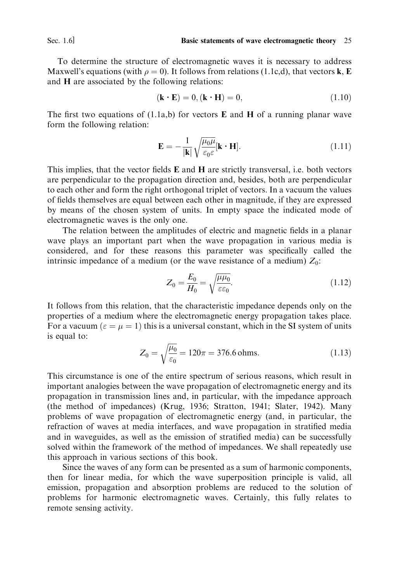To determine the structure of electromagnetic waves it is necessary to address Maxwell's equations (with  $\rho = 0$ ). It follows from relations (1.1c,d), that vectors **k**, **E** and H are associated by the following relations:

$$
(\mathbf{k} \cdot \mathbf{E}) = 0, (\mathbf{k} \cdot \mathbf{H}) = 0,
$$
\n(1.10)

The first two equations of  $(1.1a,b)$  for vectors **E** and **H** of a running planar wave form the following relation:

$$
\mathbf{E} = -\frac{1}{|\mathbf{k}|} \sqrt{\frac{\mu_0 \mu}{\varepsilon_0 \varepsilon}} [\mathbf{k} \cdot \mathbf{H}]. \tag{1.11}
$$

This implies, that the vector fields  $E$  and  $H$  are strictly transversal, i.e. both vectors are perpendicular to the propagation direction and, besides, both are perpendicular to each other and form the right orthogonal triplet of vectors. In a vacuum the values of fields themselves are equal between each other in magnitude, if they are expressed by means of the chosen system of units. In empty space the indicated mode of electromagnetic waves is the only one.

The relation between the amplitudes of electric and magnetic fields in a planar wave plays an important part when the wave propagation in various media is considered, and for these reasons this parameter was specifically called the intrinsic impedance of a medium (or the wave resistance of a medium)  $Z_0$ :

$$
Z_0 = \frac{E_0}{H_0} = \sqrt{\frac{\mu \mu_0}{\varepsilon \varepsilon_0}}.\tag{1.12}
$$

It follows from this relation, that the characteristic impedance depends only on the properties of a medium where the electromagnetic energy propagation takes place. For a vacuum ( $\varepsilon = \mu = 1$ ) this is a universal constant, which in the SI system of units is equal to:

$$
Z_0 = \sqrt{\frac{\mu_0}{\varepsilon_0}} = 120\pi = 376.6 \text{ ohms.}
$$
 (1.13)

This circumstance is one of the entire spectrum of serious reasons, which result in important analogies between the wave propagation of electromagnetic energy and its propagation in transmission lines and, in particular, with the impedance approach (the method of impedances) (Krug, 1936; Stratton, 1941; Slater, 1942). Many problems of wave propagation of electromagnetic energy (and, in particular, the refraction of waves at media interfaces, and wave propagation in stratified media and in waveguides, as well as the emission of stratified media) can be successfully solved within the framework of the method of impedances. We shall repeatedly use this approach in various sections of this book.

Since the waves of any form can be presented as a sum of harmonic components, then for linear media, for which the wave superposition principle is valid, all emission, propagation and absorption problems are reduced to the solution of problems for harmonic electromagnetic waves. Certainly, this fully relates to remote sensing activity.

Sec.  $16$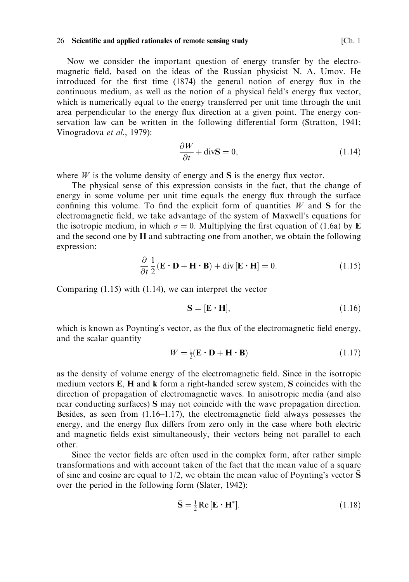Now we consider the important question of energy transfer by the electromagnetic field, based on the ideas of the Russian physicist N. A. Umov. He introduced for the first time (1874) the general notion of energy flux in the continuous medium, as well as the notion of a physical field's energy flux vector, which is numerically equal to the energy transferred per unit time through the unit area perpendicular to the energy flux direction at a given point. The energy conservation law can be written in the following differential form (Stratton, 1941; Vinogradova et al., 1979):

$$
\frac{\partial W}{\partial t} + \text{div} \mathbf{S} = 0, \qquad (1.14)
$$

where  $W$  is the volume density of energy and  $S$  is the energy flux vector.

The physical sense of this expression consists in the fact, that the change of energy in some volume per unit time equals the energy flux through the surface confining this volume. To find the explicit form of quantities  $W$  and  $S$  for the electromagnetic field, we take advantage of the system of Maxwell's equations for the isotropic medium, in which  $\sigma = 0$ . Multiplying the first equation of (1.6a) by **E** and the second one by H and subtracting one from another, we obtain the following expression:

$$
\frac{\partial}{\partial t} \frac{1}{2} (\mathbf{E} \cdot \mathbf{D} + \mathbf{H} \cdot \mathbf{B}) + \text{div} [\mathbf{E} \cdot \mathbf{H}] = 0.
$$
 (1.15)

Comparing  $(1.15)$  with  $(1.14)$ , we can interpret the vector

$$
\mathbf{S} = [\mathbf{E} \cdot \mathbf{H}], \tag{1.16}
$$

which is known as Poynting's vector, as the flux of the electromagnetic field energy, and the scalar quantity

$$
W = \frac{1}{2}(\mathbf{E} \cdot \mathbf{D} + \mathbf{H} \cdot \mathbf{B})
$$
 (1.17)

as the density of volume energy of the electromagnetic field. Since in the isotropic medium vectors E, H and k form a right-handed screw system, S coincides with the direction of propagation of electromagnetic waves. In anisotropic media (and also near conducting surfaces) S may not coincide with the wave propagation direction. Besides, as seen from  $(1.16-1.17)$ , the electromagnetic field always possesses the energy, and the energy flux differs from zero only in the case where both electric and magnetic fields exist simultaneously, their vectors being not parallel to each other.

Since the vector fields are often used in the complex form, after rather simple transformations and with account taken of the fact that the mean value of a square of sine and cosine are equal to  $1/2$ , we obtain the mean value of Poynting's vector  $\overline{S}$ over the period in the following form (Slater, 1942):

$$
\bar{\mathbf{S}} = \frac{1}{2} \text{Re} \left[ \mathbf{E} \cdot \mathbf{H}^* \right]. \tag{1.18}
$$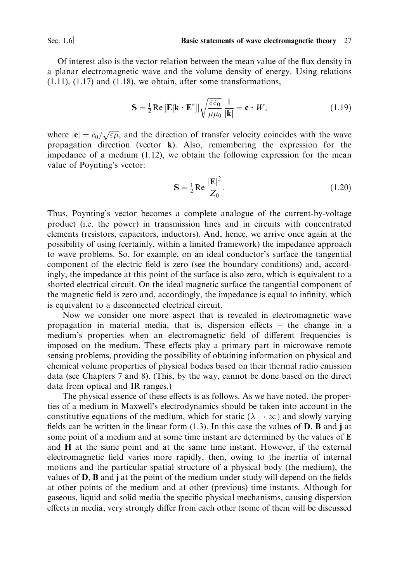Of interest also is the vector relation between the mean value of the flux density in a planar electromagnetic wave and the volume density of energy. Using relations  $(1.11)$ ,  $(1.17)$  and  $(1.18)$ , we obtain, after some transformations,

$$
\bar{\mathbf{S}} = \frac{1}{2} \text{Re} \left[ \mathbf{E} [\mathbf{k} \cdot \mathbf{E}^*] \right] \sqrt{\frac{\varepsilon \varepsilon_0}{\mu \mu_0}} \frac{1}{|\mathbf{k}|} = \mathbf{c} \cdot W, \qquad (1.19)
$$

where  $|c| = c_0 / \sqrt{\epsilon \mu}$ , and the direction of transfer velocity coincides with the wave propagation direction (vector k). Also, remembering the expression for the impedance of a medium  $(1.12)$ , we obtain the following expression for the mean value of Poynting's vector:

$$
\bar{\mathbf{S}} = \frac{1}{2} \operatorname{Re} \frac{|\mathbf{E}|^2}{Z_0}.
$$
 (1.20)

Thus, Poynting's vector becomes a complete analogue of the current-by-voltage product (i.e. the power) in transmission lines and in circuits with concentrated elements (resistors, capacitors, inductors). And, hence, we arrive once again at the possibility of using (certainly, within a limited framework) the impedance approach to wave problems. So, for example, on an ideal conductor's surface the tangential component of the electric field is zero (see the boundary conditions) and, accordingly, the impedance at this point of the surface is also zero, which is equivalent to a shorted electrical circuit. On the ideal magnetic surface the tangential component of the magnetic field is zero and, accordingly, the impedance is equal to infinity, which is equivalent to a disconnected electrical circuit.

Now we consider one more aspect that is revealed in electromagnetic wave propagation in material media, that is, dispersion effects - the change in a medium's properties when an electromagnetic field of different frequencies is imposed on the medium. These effects play a primary part in microwave remote sensing problems, providing the possibility of obtaining information on physical and chemical volume properties of physical bodies based on their thermal radio emission data (see Chapters 7 and 8). (This, by the way, cannot be done based on the direct data from optical and IR ranges.)

The physical essence of these effects is as follows. As we have noted, the properties of a medium in Maxwell's electrodynamics should be taken into account in the constitutive equations of the medium, which for static ( $\lambda \rightarrow \infty$ ) and slowly varying fields can be written in the linear form  $(1.3)$ . In this case the values of  $D$ ,  $B$  and  $j$  at some point of a medium and at some time instant are determined by the values of E and H at the same point and at the same time instant. However, if the external electromagnetic field varies more rapidly, then, owing to the inertia of internal motions and the particular spatial structure of a physical body (the medium), the values of D, B and j at the point of the medium under study will depend on the fields at other points of the medium and at other (previous) time instants. Although for gaseous, liquid and solid media the specific physical mechanisms, causing dispersion effects in media, very strongly differ from each other (some of them will be discussed

Sec. 1.6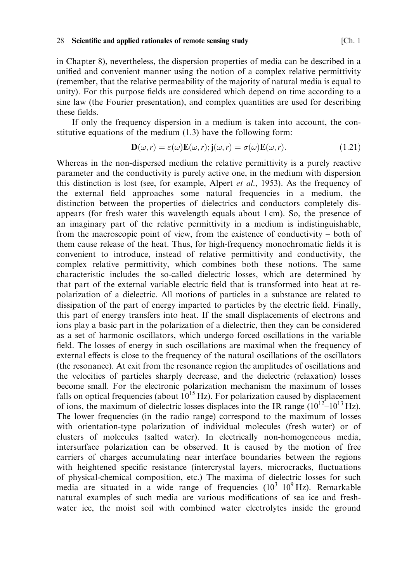in Chapter 8), nevertheless, the dispersion properties of media can be described in a unified and convenient manner using the notion of a complex relative permittivity (remember, that the relative permeability of the majority of natural media is equal to unity). For this purpose fields are considered which depend on time according to a sine law (the Fourier presentation), and complex quantities are used for describing these fields.

If only the frequency dispersion in a medium is taken into account, the constitutive equations of the medium  $(1.3)$  have the following form:

$$
\mathbf{D}(\omega, r) = \varepsilon(\omega)\mathbf{E}(\omega, r); \mathbf{j}(\omega, r) = \sigma(\omega)\mathbf{E}(\omega, r). \tag{1.21}
$$

Whereas in the non-dispersed medium the relative permittivity is a purely reactive parameter and the conductivity is purely active one, in the medium with dispersion this distinction is lost (see, for example, Alpert et al., 1953). As the frequency of the external field approaches some natural frequencies in a medium, the distinction between the properties of dielectrics and conductors completely disappears (for fresh water this wavelength equals about 1 cm). So, the presence of an imaginary part of the relative permittivity in a medium is indistinguishable, from the macroscopic point of view, from the existence of conductivity  $-$  both of them cause release of the heat. Thus, for high-frequency monochromatic fields it is convenient to introduce, instead of relative permittivity and conductivity, the complex relative permittivity, which combines both these notions. The same characteristic includes the so-called dielectric losses, which are determined by that part of the external variable electric field that is transformed into heat at repolarization of a dielectric. All motions of particles in a substance are related to dissipation of the part of energy imparted to particles by the electric field. Finally, this part of energy transfers into heat. If the small displacements of electrons and ions play a basic part in the polarization of a dielectric, then they can be considered as a set of harmonic oscillators, which undergo forced oscillations in the variable field. The losses of energy in such oscillations are maximal when the frequency of external effects is close to the frequency of the natural oscillations of the oscillators (the resonance). At exit from the resonance region the amplitudes of oscillations and the velocities of particles sharply decrease, and the dielectric (relaxation) losses become small. For the electronic polarization mechanism the maximum of losses falls on optical frequencies (about  $10^{15}$  Hz). For polarization caused by displacement of ions, the maximum of dielectric losses displaces into the IR range  $(10^{12} - 10^{13} \text{ Hz})$ . The lower frequencies (in the radio range) correspond to the maximum of losses with orientation-type polarization of individual molecules (fresh water) or of clusters of molecules (salted water). In electrically non-homogeneous media, intersurface polarization can be observed. It is caused by the motion of free carriers of charges accumulating near interface boundaries between the regions with heightened specific resistance (intercrystal layers, microcracks, fluctuations of physical-chemical composition, etc.) The maxima of dielectric losses for such media are situated in a wide range of frequencies  $(10^3 - 10^9 \text{ Hz})$ . Remarkable natural examples of such media are various modifications of sea ice and freshwater ice, the moist soil with combined water electrolytes inside the ground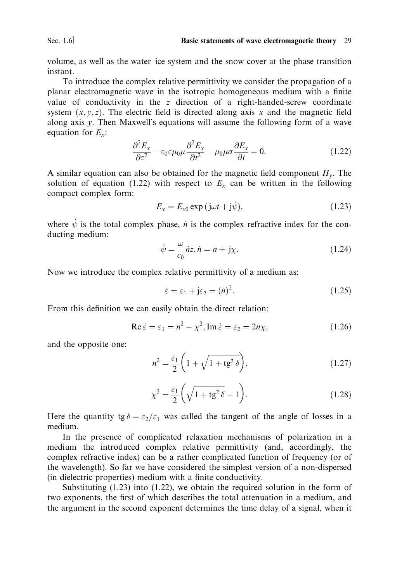Sec. 1.6

Basic statements of wave electromagnetic theory 29

volume, as well as the water-ice system and the snow cover at the phase transition instant.

To introduce the complex relative permittivity we consider the propagation of a planar electromagnetic wave in the isotropic homogeneous medium with a finite value of conductivity in the  $z$  direction of a right-handed-screw coordinate system  $(x, y, z)$ . The electric field is directed along axis x and the magnetic field along axis y. Then Maxwell's equations will assume the following form of a wave equation for  $E_x$ :

$$
\frac{\partial^2 E_x}{\partial z^2} - \varepsilon_0 \varepsilon \mu_0 \mu \frac{\partial^2 E_x}{\partial t^2} - \mu_0 \mu \sigma \frac{\partial E_x}{\partial t} = 0.
$$
 (1.22)

A similar equation can also be obtained for the magnetic field component  $H_v$ . The solution of equation (1.22) with respect to  $E_r$  can be written in the following compact complex form:

$$
E_x = E_{x0} \exp(j\omega t + j\dot{\psi}), \qquad (1.23)
$$

where  $\dot{\psi}$  is the total complex phase, *n* is the complex refractive index for the conducting medium:

$$
\dot{\psi} = \frac{\omega}{c_0} \dot{n} z, \dot{n} = n + j\chi. \tag{1.24}
$$

Now we introduce the complex relative permittivity of a medium as:

$$
\dot{\varepsilon} = \varepsilon_1 + j\varepsilon_2 = (\dot{n})^2. \tag{1.25}
$$

From this definition we can easily obtain the direct relation:

$$
\operatorname{Re}\dot{\varepsilon} = \varepsilon_1 = n^2 - \chi^2, \operatorname{Im}\dot{\varepsilon} = \varepsilon_2 = 2n\chi,\tag{1.26}
$$

and the opposite one:

$$
n^2 = \frac{\varepsilon_1}{2} \left( 1 + \sqrt{1 + \text{tg}^2 \delta} \right),\tag{1.27}
$$

$$
\chi^2 = \frac{\varepsilon_1}{2} \left( \sqrt{1 + \text{tg}^2 \delta} - 1 \right). \tag{1.28}
$$

Here the quantity tg  $\delta = \epsilon_2/\epsilon_1$  was called the tangent of the angle of losses in a medium.

In the presence of complicated relaxation mechanisms of polarization in a medium the introduced complex relative permittivity (and, accordingly, the complex refractive index) can be a rather complicated function of frequency (or of the wavelength). So far we have considered the simplest version of a non-dispersed (in dielectric properties) medium with a finite conductivity.

Substituting  $(1.23)$  into  $(1.22)$ , we obtain the required solution in the form of two exponents, the first of which describes the total attenuation in a medium, and the argument in the second exponent determines the time delay of a signal, when it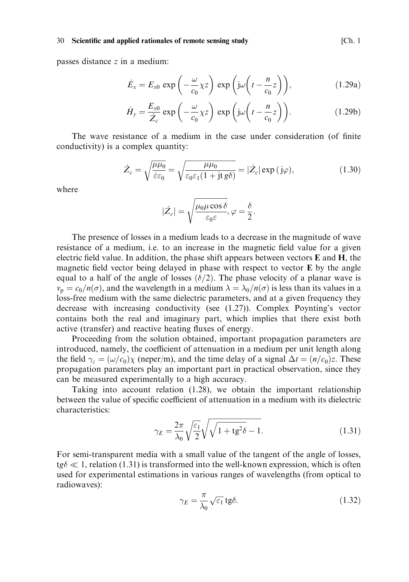passes distance  $z$  in a medium:

$$
\dot{E}_x = E_{x0} \exp\left(-\frac{\omega}{c_0} \chi z\right) \exp\left(j\omega\left(t - \frac{n}{c_0} z\right)\right),\tag{1.29a}
$$

$$
\dot{H}_y = \frac{E_{x0}}{\dot{Z}_c} \exp\left(-\frac{\omega}{c_0} \chi z\right) \exp\left(j\omega\left(t - \frac{n}{c_0} z\right)\right).
$$
 (1.29b)

The wave resistance of a medium in the case under consideration (of finite conductivity) is a complex quantity:

$$
\dot{Z}_c = \sqrt{\frac{\mu\mu_0}{\dot{\varepsilon}\varepsilon_0}} = \sqrt{\frac{\mu\mu_0}{\varepsilon_0\varepsilon_1(1 + \text{jt}g\delta)}} = |\dot{Z}_c|\exp\left(\text{j}\varphi\right),\tag{1.30}
$$

where

$$
|\dot{Z}_c| = \sqrt{\frac{\mu_0 \mu \cos \delta}{\varepsilon_0 \varepsilon}}, \varphi = \frac{\delta}{2}
$$

The presence of losses in a medium leads to a decrease in the magnitude of wave resistance of a medium, *i.e.* to an increase in the magnetic field value for a given electric field value. In addition, the phase shift appears between vectors  $\bf{E}$  and  $\bf{H}$ , the magnetic field vector being delayed in phase with respect to vector  $\bf{E}$  by the angle equal to a half of the angle of losses  $(\delta/2)$ . The phase velocity of a planar wave is  $v_p = c_0/n(\sigma)$ , and the wavelength in a medium  $\lambda = \lambda_0/n(\sigma)$  is less than its values in a loss-free medium with the same dielectric parameters, and at a given frequency they decrease with increasing conductivity (see  $(1.27)$ ). Complex Poynting's vector contains both the real and imaginary part, which implies that there exist both active (transfer) and reactive heating fluxes of energy.

Proceeding from the solution obtained, important propagation parameters are introduced, namely, the coefficient of attenuation in a medium per unit length along the field  $\gamma_{\varepsilon} = (\omega/c_0)\chi$  (neper/m), and the time delay of a signal  $\Delta t = (n/c_0)z$ . These propagation parameters play an important part in practical observation, since they can be measured experimentally to a high accuracy.

Taking into account relation (1.28), we obtain the important relationship between the value of specific coefficient of attenuation in a medium with its dielectric characteristics:

$$
\gamma_E = \frac{2\pi}{\lambda_0} \sqrt{\frac{\varepsilon_1}{2}} \sqrt{\sqrt{1 + \text{tg}^2 \delta} - 1}.
$$
\n(1.31)

For semi-transparent media with a small value of the tangent of the angle of losses, tg $\delta \ll 1$ , relation (1.31) is transformed into the well-known expression, which is often used for experimental estimations in various ranges of wavelengths (from optical to radiowayes):

$$
\gamma_E = \frac{\pi}{\lambda_0} \sqrt{\varepsilon_1} \,\mathrm{tg}\delta. \tag{1.32}
$$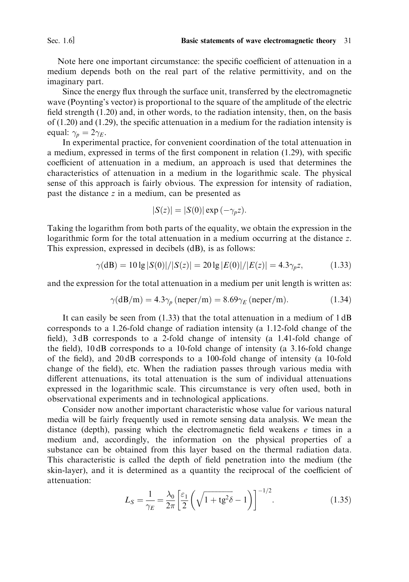Note here one important circumstance: the specific coefficient of attenuation in a medium depends both on the real part of the relative permittivity, and on the imaginary part.

Since the energy flux through the surface unit, transferred by the electromagnetic wave (Poynting's vector) is proportional to the square of the amplitude of the electric field strength (1.20) and, in other words, to the radiation intensity, then, on the basis of  $(1.20)$  and  $(1.29)$ , the specific attenuation in a medium for the radiation intensity is equal:  $\gamma_p = 2\gamma_E$ .

In experimental practice, for convenient coordination of the total attenuation in a medium, expressed in terms of the first component in relation (1.29), with specific coefficient of attenuation in a medium, an approach is used that determines the characteristics of attenuation in a medium in the logarithmic scale. The physical sense of this approach is fairly obvious. The expression for intensity of radiation, past the distance  $z$  in a medium, can be presented as

$$
|S(z)| = |S(0)| \exp(-\gamma_p z).
$$

Taking the logarithm from both parts of the equality, we obtain the expression in the logarithmic form for the total attenuation in a medium occurring at the distance z. This expression, expressed in decibels (dB), is as follows:

$$
\gamma(d\mathbf{B}) = 10 \lg |S(0)| / |S(z)| = 20 \lg |E(0)| / |E(z)| = 4.3 \gamma_p z,\tag{1.33}
$$

and the expression for the total attenuation in a medium per unit length is written as:

$$
\gamma(d\mathbf{B}/\mathbf{m}) = 4.3\gamma_p \left( \text{neper/m} \right) = 8.69\gamma_E \left( \text{neper/m} \right). \tag{1.34}
$$

It can easily be seen from  $(1.33)$  that the total attenuation in a medium of  $1 dB$ corresponds to a 1.26-fold change of radiation intensity (a 1.12-fold change of the field), 3 dB corresponds to a 2-fold change of intensity (a 1.41-fold change of the field), 10dB corresponds to a 10-fold change of intensity (a 3.16-fold change of the field), and 20 dB corresponds to a 100-fold change of intensity (a 10-fold change of the field), etc. When the radiation passes through various media with different attenuations, its total attenuation is the sum of individual attenuations expressed in the logarithmic scale. This circumstance is very often used, both in observational experiments and in technological applications.

Consider now another important characteristic whose value for various natural media will be fairly frequently used in remote sensing data analysis. We mean the distance (depth), passing which the electromagnetic field weakens  $e$  times in a medium and, accordingly, the information on the physical properties of a substance can be obtained from this layer based on the thermal radiation data. This characteristic is called the depth of field penetration into the medium (the skin-layer), and it is determined as a quantity the reciprocal of the coefficient of attenuation:

$$
L_S = \frac{1}{\gamma_E} = \frac{\lambda_0}{2\pi} \left[ \frac{\varepsilon_1}{2} \left( \sqrt{1 + \text{tg}^2 \delta} - 1 \right) \right]^{-1/2}.
$$
 (1.35)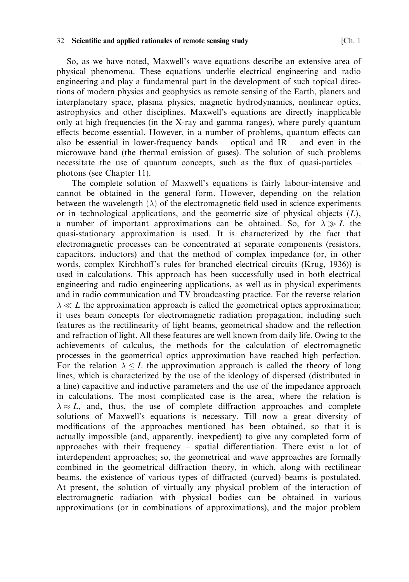So, as we have noted, Maxwell's wave equations describe an extensive area of physical phenomena. These equations underlie electrical engineering and radio engineering and play a fundamental part in the development of such topical directions of modern physics and geophysics as remote sensing of the Earth, planets and interplanetary space, plasma physics, magnetic hydrodynamics, nonlinear optics, astrophysics and other disciplines. Maxwell's equations are directly inapplicable only at high frequencies (in the X-ray and gamma ranges), where purely quantum effects become essential. However, in a number of problems, quantum effects can also be essential in lower-frequency bands – optical and  $IR$  – and even in the microwave band (the thermal emission of gases). The solution of such problems necessitate the use of quantum concepts, such as the flux of quasi-particles – photons (see Chapter 11).

The complete solution of Maxwell's equations is fairly labour-intensive and cannot be obtained in the general form. However, depending on the relation between the wavelength  $(\lambda)$  of the electromagnetic field used in science experiments or in technological applications, and the geometric size of physical objects  $(L)$ , a number of important approximations can be obtained. So, for  $\lambda \gg L$  the quasi-stationary approximation is used. It is characterized by the fact that electromagnetic processes can be concentrated at separate components (resistors, capacitors, inductors) and that the method of complex impedance (or, in other words, complex Kirchhoff's rules for branched electrical circuits (Krug, 1936)) is used in calculations. This approach has been successfully used in both electrical engineering and radio engineering applications, as well as in physical experiments and in radio communication and TV broadcasting practice. For the reverse relation  $\lambda \ll L$  the approximation approach is called the geometrical optics approximation; it uses beam concepts for electromagnetic radiation propagation, including such features as the rectilinearity of light beams, geometrical shadow and the reflection and refraction of light. All these features are well known from daily life. Owing to the achievements of calculus, the methods for the calculation of electromagnetic processes in the geometrical optics approximation have reached high perfection. For the relation  $\lambda \leq L$  the approximation approach is called the theory of long lines, which is characterized by the use of the ideology of dispersed (distributed in a line) capacitive and inductive parameters and the use of the impedance approach in calculations. The most complicated case is the area, where the relation is  $\lambda \approx L$ , and, thus, the use of complete diffraction approaches and complete solutions of Maxwell's equations is necessary. Till now a great diversity of modifications of the approaches mentioned has been obtained, so that it is actually impossible (and, apparently, inexpedient) to give any completed form of approaches with their frequency – spatial differentiation. There exist a lot of interdependent approaches; so, the geometrical and wave approaches are formally combined in the geometrical diffraction theory, in which, along with rectilinear beams, the existence of various types of diffracted (curved) beams is postulated. At present, the solution of virtually any physical problem of the interaction of electromagnetic radiation with physical bodies can be obtained in various approximations (or in combinations of approximations), and the major problem